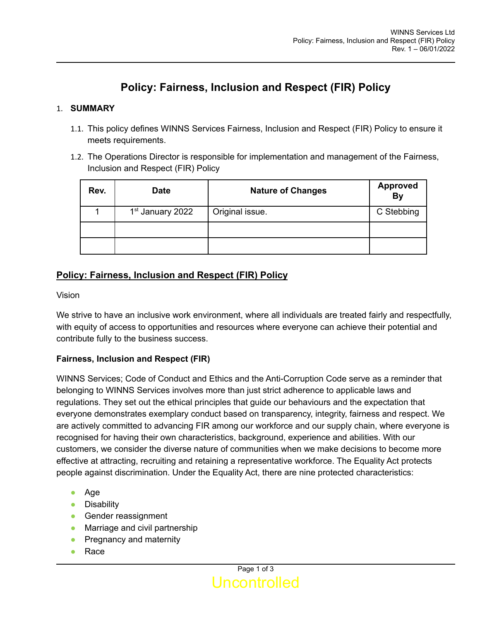# **Policy: Fairness, Inclusion and Respect (FIR) Policy**

### 1. **SUMMARY**

- 1.1. This policy defines WINNS Services Fairness, Inclusion and Respect (FIR) Policy to ensure it meets requirements.
- 1.2. The Operations Director is responsible for implementation and management of the Fairness, Inclusion and Respect (FIR) Policy

| Rev. | <b>Date</b>                  | <b>Nature of Changes</b> | Approved<br>By |
|------|------------------------------|--------------------------|----------------|
|      | 1 <sup>st</sup> January 2022 | Original issue.          | C Stebbing     |
|      |                              |                          |                |
|      |                              |                          |                |

# **Policy: Fairness, Inclusion and Respect (FIR) Policy**

Vision

We strive to have an inclusive work environment, where all individuals are treated fairly and respectfully, with equity of access to opportunities and resources where everyone can achieve their potential and contribute fully to the business success.

#### **Fairness, Inclusion and Respect (FIR)**

WINNS Services; Code of Conduct and Ethics and the Anti-Corruption Code serve as a reminder that belonging to WINNS Services involves more than just strict adherence to applicable laws and regulations. They set out the ethical principles that guide our behaviours and the expectation that everyone demonstrates exemplary conduct based on transparency, integrity, fairness and respect. We are actively committed to advancing FIR among our workforce and our supply chain, where everyone is recognised for having their own characteristics, background, experience and abilities. With our customers, we consider the diverse nature of communities when we make decisions to become more effective at attracting, recruiting and retaining a representative workforce. The Equality Act protects people against discrimination. Under the Equality Act, there are nine protected characteristics:

- Age
- Disability
- Gender reassignment
- Marriage and civil partnership
- Pregnancy and maternity
- Race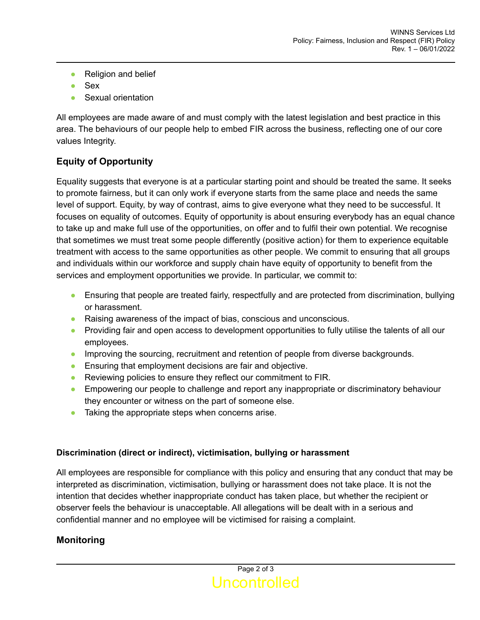- Religion and belief
- Sex
- Sexual orientation

All employees are made aware of and must comply with the latest legislation and best practice in this area. The behaviours of our people help to embed FIR across the business, reflecting one of our core values Integrity.

## **Equity of Opportunity**

Equality suggests that everyone is at a particular starting point and should be treated the same. It seeks to promote fairness, but it can only work if everyone starts from the same place and needs the same level of support. Equity, by way of contrast, aims to give everyone what they need to be successful. It focuses on equality of outcomes. Equity of opportunity is about ensuring everybody has an equal chance to take up and make full use of the opportunities, on offer and to fulfil their own potential. We recognise that sometimes we must treat some people differently (positive action) for them to experience equitable treatment with access to the same opportunities as other people. We commit to ensuring that all groups and individuals within our workforce and supply chain have equity of opportunity to benefit from the services and employment opportunities we provide. In particular, we commit to:

- Ensuring that people are treated fairly, respectfully and are protected from discrimination, bullying or harassment.
- Raising awareness of the impact of bias, conscious and unconscious.
- Providing fair and open access to development opportunities to fully utilise the talents of all our employees.
- Improving the sourcing, recruitment and retention of people from diverse backgrounds.
- Ensuring that employment decisions are fair and objective.
- Reviewing policies to ensure they reflect our commitment to FIR.
- Empowering our people to challenge and report any inappropriate or discriminatory behaviour they encounter or witness on the part of someone else.
- Taking the appropriate steps when concerns arise.

#### **Discrimination (direct or indirect), victimisation, bullying or harassment**

All employees are responsible for compliance with this policy and ensuring that any conduct that may be interpreted as discrimination, victimisation, bullying or harassment does not take place. It is not the intention that decides whether inappropriate conduct has taken place, but whether the recipient or observer feels the behaviour is unacceptable. All allegations will be dealt with in a serious and confidential manner and no employee will be victimised for raising a complaint.

## **Monitoring**